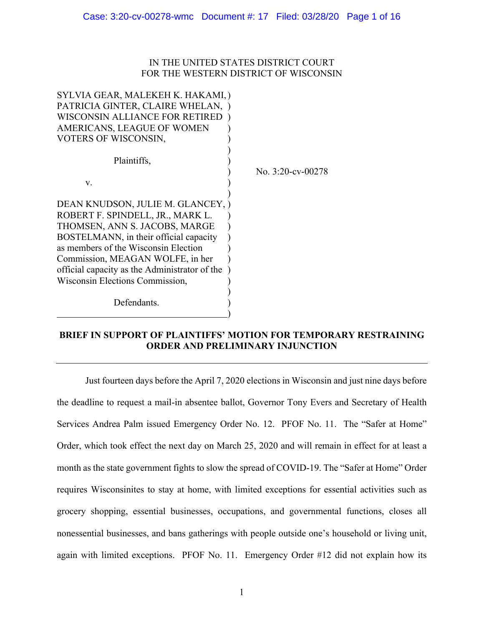## IN THE UNITED STATES DISTRICT COURT FOR THE WESTERN DISTRICT OF WISCONSIN

| SYLVIA GEAR, MALEKEH K. HAKAMI, )<br>PATRICIA GINTER, CLAIRE WHELAN,<br>WISCONSIN ALLIANCE FOR RETIRED<br>AMERICANS, LEAGUE OF WOMEN<br>VOTERS OF WISCONSIN,                                                                                                                                                     |                   |
|------------------------------------------------------------------------------------------------------------------------------------------------------------------------------------------------------------------------------------------------------------------------------------------------------------------|-------------------|
| Plaintiffs,                                                                                                                                                                                                                                                                                                      | No. 3:20-cv-00278 |
| V.                                                                                                                                                                                                                                                                                                               |                   |
| DEAN KNUDSON, JULIE M. GLANCEY, )<br>ROBERT F. SPINDELL, JR., MARK L.<br>THOMSEN, ANN S. JACOBS, MARGE<br>BOSTELMANN, in their official capacity<br>as members of the Wisconsin Election<br>Commission, MEAGAN WOLFE, in her<br>official capacity as the Administrator of the<br>Wisconsin Elections Commission, |                   |
| Defendants.                                                                                                                                                                                                                                                                                                      |                   |

# **BRIEF IN SUPPORT OF PLAINTIFFS' MOTION FOR TEMPORARY RESTRAINING ORDER AND PRELIMINARY INJUNCTION**

Just fourteen days before the April 7, 2020 elections in Wisconsin and just nine days before the deadline to request a mail-in absentee ballot, Governor Tony Evers and Secretary of Health Services Andrea Palm issued Emergency Order No. 12. PFOF No. 11. The "Safer at Home" Order, which took effect the next day on March 25, 2020 and will remain in effect for at least a month as the state government fights to slow the spread of COVID-19. The "Safer at Home" Order requires Wisconsinites to stay at home, with limited exceptions for essential activities such as grocery shopping, essential businesses, occupations, and governmental functions, closes all nonessential businesses, and bans gatherings with people outside one's household or living unit, again with limited exceptions. PFOF No. 11. Emergency Order #12 did not explain how its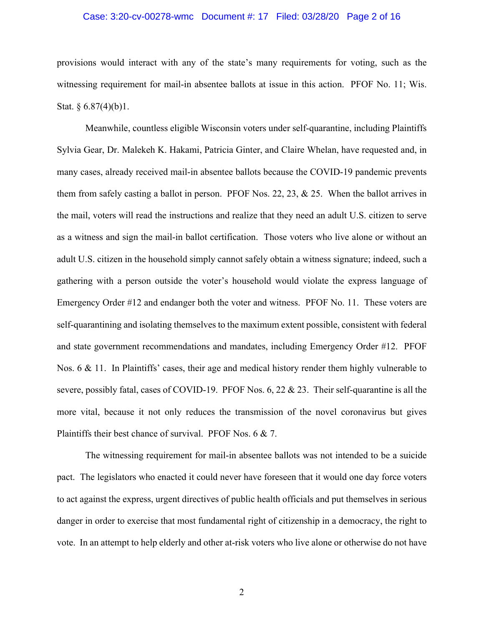## Case: 3:20-cv-00278-wmc Document #: 17 Filed: 03/28/20 Page 2 of 16

provisions would interact with any of the state's many requirements for voting, such as the witnessing requirement for mail-in absentee ballots at issue in this action. PFOF No. 11; Wis. Stat.  $§ 6.87(4)(b)1$ .

Meanwhile, countless eligible Wisconsin voters under self-quarantine, including Plaintiffs Sylvia Gear, Dr. Malekeh K. Hakami, Patricia Ginter, and Claire Whelan, have requested and, in many cases, already received mail-in absentee ballots because the COVID-19 pandemic prevents them from safely casting a ballot in person. PFOF Nos. 22, 23, & 25. When the ballot arrives in the mail, voters will read the instructions and realize that they need an adult U.S. citizen to serve as a witness and sign the mail-in ballot certification. Those voters who live alone or without an adult U.S. citizen in the household simply cannot safely obtain a witness signature; indeed, such a gathering with a person outside the voter's household would violate the express language of Emergency Order #12 and endanger both the voter and witness. PFOF No. 11. These voters are self-quarantining and isolating themselves to the maximum extent possible, consistent with federal and state government recommendations and mandates, including Emergency Order #12. PFOF Nos. 6 & 11. In Plaintiffs' cases, their age and medical history render them highly vulnerable to severe, possibly fatal, cases of COVID-19. PFOF Nos. 6, 22 & 23. Their self-quarantine is all the more vital, because it not only reduces the transmission of the novel coronavirus but gives Plaintiffs their best chance of survival. PFOF Nos. 6 & 7.

The witnessing requirement for mail-in absentee ballots was not intended to be a suicide pact. The legislators who enacted it could never have foreseen that it would one day force voters to act against the express, urgent directives of public health officials and put themselves in serious danger in order to exercise that most fundamental right of citizenship in a democracy, the right to vote. In an attempt to help elderly and other at-risk voters who live alone or otherwise do not have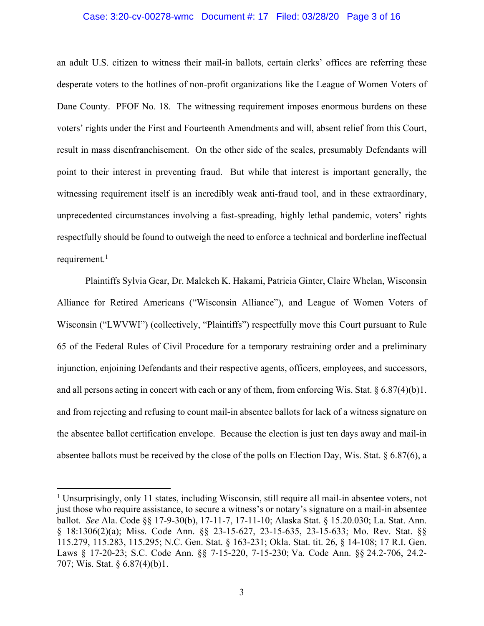#### Case: 3:20-cv-00278-wmc Document #: 17 Filed: 03/28/20 Page 3 of 16

an adult U.S. citizen to witness their mail-in ballots, certain clerks' offices are referring these desperate voters to the hotlines of non-profit organizations like the League of Women Voters of Dane County. PFOF No. 18. The witnessing requirement imposes enormous burdens on these voters' rights under the First and Fourteenth Amendments and will, absent relief from this Court, result in mass disenfranchisement. On the other side of the scales, presumably Defendants will point to their interest in preventing fraud. But while that interest is important generally, the witnessing requirement itself is an incredibly weak anti-fraud tool, and in these extraordinary, unprecedented circumstances involving a fast-spreading, highly lethal pandemic, voters' rights respectfully should be found to outweigh the need to enforce a technical and borderline ineffectual requirement.<sup>1</sup>

Plaintiffs Sylvia Gear, Dr. Malekeh K. Hakami, Patricia Ginter, Claire Whelan, Wisconsin Alliance for Retired Americans ("Wisconsin Alliance"), and League of Women Voters of Wisconsin ("LWVWI") (collectively, "Plaintiffs") respectfully move this Court pursuant to Rule 65 of the Federal Rules of Civil Procedure for a temporary restraining order and a preliminary injunction, enjoining Defendants and their respective agents, officers, employees, and successors, and all persons acting in concert with each or any of them, from enforcing Wis. Stat. § 6.87(4)(b)1. and from rejecting and refusing to count mail-in absentee ballots for lack of a witness signature on the absentee ballot certification envelope. Because the election is just ten days away and mail-in absentee ballots must be received by the close of the polls on Election Day, Wis. Stat. § 6.87(6), a

<sup>&</sup>lt;sup>1</sup> Unsurprisingly, only 11 states, including Wisconsin, still require all mail-in absentee voters, not just those who require assistance, to secure a witness's or notary's signature on a mail-in absentee ballot. *See* Ala. Code §§ 17-9-30(b), 17-11-7, 17-11-10; Alaska Stat. § 15.20.030; La. Stat. Ann. § 18:1306(2)(a); Miss. Code Ann. §§ 23-15-627, 23-15-635, 23-15-633; Mo. Rev. Stat. §§ 115.279, 115.283, 115.295; N.C. Gen. Stat. § 163-231; Okla. Stat. tit. 26, § 14-108; 17 R.I. Gen. Laws § 17-20-23; S.C. Code Ann. §§ 7-15-220, 7-15-230; Va. Code Ann. §§ 24.2-706, 24.2- 707; Wis. Stat. § 6.87(4)(b)1.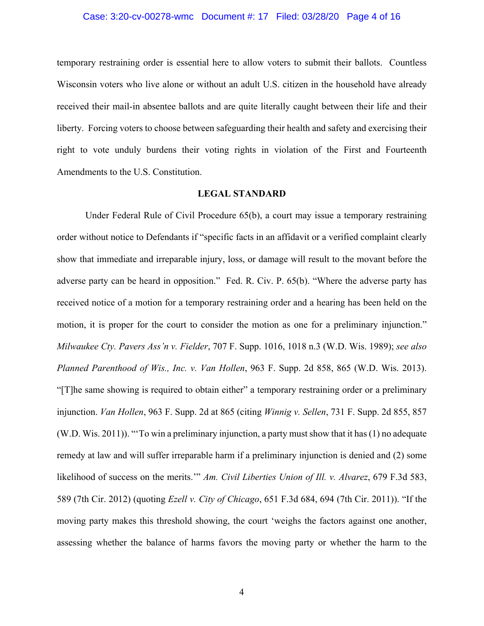## Case: 3:20-cv-00278-wmc Document #: 17 Filed: 03/28/20 Page 4 of 16

temporary restraining order is essential here to allow voters to submit their ballots. Countless Wisconsin voters who live alone or without an adult U.S. citizen in the household have already received their mail-in absentee ballots and are quite literally caught between their life and their liberty. Forcing voters to choose between safeguarding their health and safety and exercising their right to vote unduly burdens their voting rights in violation of the First and Fourteenth Amendments to the U.S. Constitution.

## **LEGAL STANDARD**

Under Federal Rule of Civil Procedure 65(b), a court may issue a temporary restraining order without notice to Defendants if "specific facts in an affidavit or a verified complaint clearly show that immediate and irreparable injury, loss, or damage will result to the movant before the adverse party can be heard in opposition." Fed. R. Civ. P. 65(b). "Where the adverse party has received notice of a motion for a temporary restraining order and a hearing has been held on the motion, it is proper for the court to consider the motion as one for a preliminary injunction." *Milwaukee Cty. Pavers Ass'n v. Fielder*, 707 F. Supp. 1016, 1018 n.3 (W.D. Wis. 1989); *see also Planned Parenthood of Wis., Inc. v. Van Hollen*, 963 F. Supp. 2d 858, 865 (W.D. Wis. 2013). "[T]he same showing is required to obtain either" a temporary restraining order or a preliminary injunction. *Van Hollen*, 963 F. Supp. 2d at 865 (citing *Winnig v. Sellen*, 731 F. Supp. 2d 855, 857 (W.D. Wis. 2011)). "'To win a preliminary injunction, a party must show that it has(1) no adequate remedy at law and will suffer irreparable harm if a preliminary injunction is denied and (2) some likelihood of success on the merits.'" *Am. Civil Liberties Union of Ill. v. Alvarez*, 679 F.3d 583, 589 (7th Cir. 2012) (quoting *Ezell v. City of Chicago*, 651 F.3d 684, 694 (7th Cir. 2011)). "If the moving party makes this threshold showing, the court 'weighs the factors against one another, assessing whether the balance of harms favors the moving party or whether the harm to the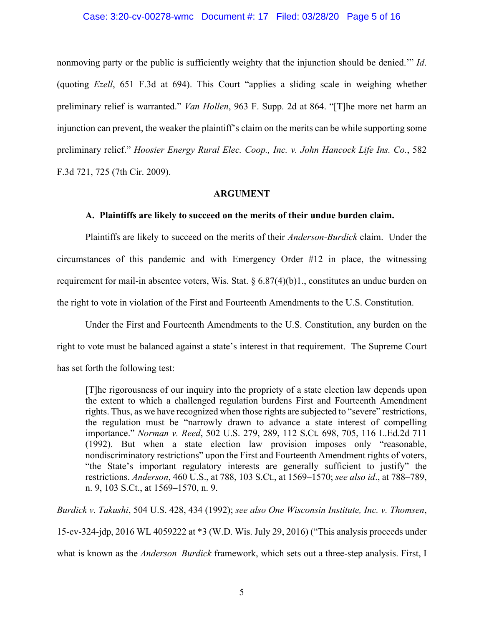## Case: 3:20-cv-00278-wmc Document #: 17 Filed: 03/28/20 Page 5 of 16

nonmoving party or the public is sufficiently weighty that the injunction should be denied.'" *Id*. (quoting *Ezell*, 651 F.3d at 694). This Court "applies a sliding scale in weighing whether preliminary relief is warranted." *Van Hollen*, 963 F. Supp. 2d at 864. "[T]he more net harm an injunction can prevent, the weaker the plaintiff's claim on the merits can be while supporting some preliminary relief." *Hoosier Energy Rural Elec. Coop., Inc. v. John Hancock Life Ins. Co.*, 582 F.3d 721, 725 (7th Cir. 2009).

## **ARGUMENT**

## **A. Plaintiffs are likely to succeed on the merits of their undue burden claim.**

Plaintiffs are likely to succeed on the merits of their *Anderson-Burdick* claim. Under the circumstances of this pandemic and with Emergency Order #12 in place, the witnessing requirement for mail-in absentee voters, Wis. Stat. § 6.87(4)(b)1., constitutes an undue burden on the right to vote in violation of the First and Fourteenth Amendments to the U.S. Constitution.

Under the First and Fourteenth Amendments to the U.S. Constitution, any burden on the right to vote must be balanced against a state's interest in that requirement. The Supreme Court has set forth the following test:

[T]he rigorousness of our inquiry into the propriety of a state election law depends upon the extent to which a challenged regulation burdens First and Fourteenth Amendment rights. Thus, as we have recognized when those rights are subjected to "severe" restrictions, the regulation must be "narrowly drawn to advance a state interest of compelling importance." *Norman v. Reed*, 502 U.S. 279, 289, 112 S.Ct. 698, 705, 116 L.Ed.2d 711 (1992). But when a state election law provision imposes only "reasonable, nondiscriminatory restrictions" upon the First and Fourteenth Amendment rights of voters, "the State's important regulatory interests are generally sufficient to justify" the restrictions. *Anderson*, 460 U.S., at 788, 103 S.Ct., at 1569–1570; *see also id*., at 788–789, n. 9, 103 S.Ct., at 1569–1570, n. 9.

*Burdick v. Takushi*, 504 U.S. 428, 434 (1992); *see also One Wisconsin Institute, Inc. v. Thomsen*, 15-cv-324-jdp, 2016 WL 4059222 at \*3 (W.D. Wis. July 29, 2016) ("This analysis proceeds under what is known as the *Anderson–Burdick* framework, which sets out a three-step analysis. First, I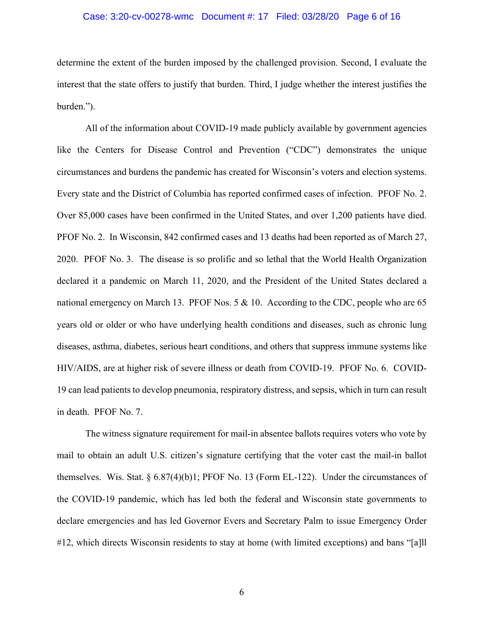## Case: 3:20-cv-00278-wmc Document #: 17 Filed: 03/28/20 Page 6 of 16

determine the extent of the burden imposed by the challenged provision. Second, I evaluate the interest that the state offers to justify that burden. Third, I judge whether the interest justifies the burden.").

All of the information about COVID-19 made publicly available by government agencies like the Centers for Disease Control and Prevention ("CDC") demonstrates the unique circumstances and burdens the pandemic has created for Wisconsin's voters and election systems. Every state and the District of Columbia has reported confirmed cases of infection. PFOF No. 2. Over 85,000 cases have been confirmed in the United States, and over 1,200 patients have died. PFOF No. 2. In Wisconsin, 842 confirmed cases and 13 deaths had been reported as of March 27, 2020. PFOF No. 3. The disease is so prolific and so lethal that the World Health Organization declared it a pandemic on March 11, 2020, and the President of the United States declared a national emergency on March 13. PFOF Nos. 5 & 10. According to the CDC, people who are 65 years old or older or who have underlying health conditions and diseases, such as chronic lung diseases, asthma, diabetes, serious heart conditions, and others that suppress immune systems like HIV/AIDS, are at higher risk of severe illness or death from COVID-19. PFOF No. 6. COVID-19 can lead patients to develop pneumonia, respiratory distress, and sepsis, which in turn can result in death. PFOF No. 7.

The witness signature requirement for mail-in absentee ballots requires voters who vote by mail to obtain an adult U.S. citizen's signature certifying that the voter cast the mail-in ballot themselves. Wis. Stat.  $\S 6.87(4)(b)1$ ; PFOF No. 13 (Form EL-122). Under the circumstances of the COVID-19 pandemic, which has led both the federal and Wisconsin state governments to declare emergencies and has led Governor Evers and Secretary Palm to issue Emergency Order #12, which directs Wisconsin residents to stay at home (with limited exceptions) and bans "[a]ll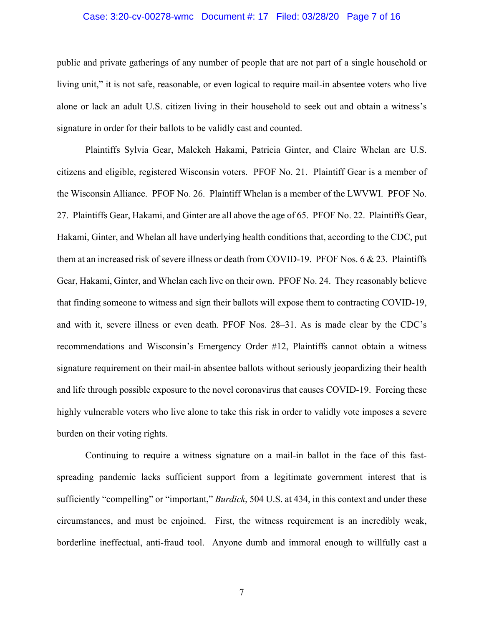## Case: 3:20-cv-00278-wmc Document #: 17 Filed: 03/28/20 Page 7 of 16

public and private gatherings of any number of people that are not part of a single household or living unit," it is not safe, reasonable, or even logical to require mail-in absentee voters who live alone or lack an adult U.S. citizen living in their household to seek out and obtain a witness's signature in order for their ballots to be validly cast and counted.

Plaintiffs Sylvia Gear, Malekeh Hakami, Patricia Ginter, and Claire Whelan are U.S. citizens and eligible, registered Wisconsin voters. PFOF No. 21. Plaintiff Gear is a member of the Wisconsin Alliance. PFOF No. 26. Plaintiff Whelan is a member of the LWVWI. PFOF No. 27. Plaintiffs Gear, Hakami, and Ginter are all above the age of 65. PFOF No. 22. Plaintiffs Gear, Hakami, Ginter, and Whelan all have underlying health conditions that, according to the CDC, put them at an increased risk of severe illness or death from COVID-19. PFOF Nos. 6 & 23. Plaintiffs Gear, Hakami, Ginter, and Whelan each live on their own. PFOF No. 24. They reasonably believe that finding someone to witness and sign their ballots will expose them to contracting COVID-19, and with it, severe illness or even death. PFOF Nos. 28–31. As is made clear by the CDC's recommendations and Wisconsin's Emergency Order #12, Plaintiffs cannot obtain a witness signature requirement on their mail-in absentee ballots without seriously jeopardizing their health and life through possible exposure to the novel coronavirus that causes COVID-19. Forcing these highly vulnerable voters who live alone to take this risk in order to validly vote imposes a severe burden on their voting rights.

Continuing to require a witness signature on a mail-in ballot in the face of this fastspreading pandemic lacks sufficient support from a legitimate government interest that is sufficiently "compelling" or "important," *Burdick*, 504 U.S. at 434, in this context and under these circumstances, and must be enjoined. First, the witness requirement is an incredibly weak, borderline ineffectual, anti-fraud tool. Anyone dumb and immoral enough to willfully cast a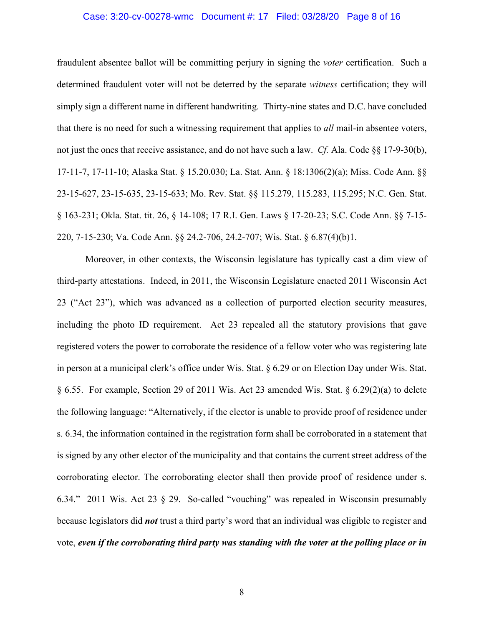#### Case: 3:20-cv-00278-wmc Document #: 17 Filed: 03/28/20 Page 8 of 16

fraudulent absentee ballot will be committing perjury in signing the *voter* certification. Such a determined fraudulent voter will not be deterred by the separate *witness* certification; they will simply sign a different name in different handwriting. Thirty-nine states and D.C. have concluded that there is no need for such a witnessing requirement that applies to *all* mail-in absentee voters, not just the ones that receive assistance, and do not have such a law. *Cf.* Ala. Code §§ 17-9-30(b), 17-11-7, 17-11-10; Alaska Stat. § 15.20.030; La. Stat. Ann. § 18:1306(2)(a); Miss. Code Ann. §§ 23-15-627, 23-15-635, 23-15-633; Mo. Rev. Stat. §§ 115.279, 115.283, 115.295; N.C. Gen. Stat. § 163-231; Okla. Stat. tit. 26, § 14-108; 17 R.I. Gen. Laws § 17-20-23; S.C. Code Ann. §§ 7-15- 220, 7-15-230; Va. Code Ann. §§ 24.2-706, 24.2-707; Wis. Stat. § 6.87(4)(b)1.

Moreover, in other contexts, the Wisconsin legislature has typically cast a dim view of third-party attestations. Indeed, in 2011, the Wisconsin Legislature enacted 2011 Wisconsin Act 23 ("Act 23"), which was advanced as a collection of purported election security measures, including the photo ID requirement. Act 23 repealed all the statutory provisions that gave registered voters the power to corroborate the residence of a fellow voter who was registering late in person at a municipal clerk's office under Wis. Stat. § 6.29 or on Election Day under Wis. Stat. § 6.55. For example, Section 29 of 2011 Wis. Act 23 amended Wis. Stat. § 6.29(2)(a) to delete the following language: "Alternatively, if the elector is unable to provide proof of residence under s. 6.34, the information contained in the registration form shall be corroborated in a statement that is signed by any other elector of the municipality and that contains the current street address of the corroborating elector. The corroborating elector shall then provide proof of residence under s. 6.34." 2011 Wis. Act 23 § 29. So-called "vouching" was repealed in Wisconsin presumably because legislators did *not* trust a third party's word that an individual was eligible to register and vote, *even if the corroborating third party was standing with the voter at the polling place or in*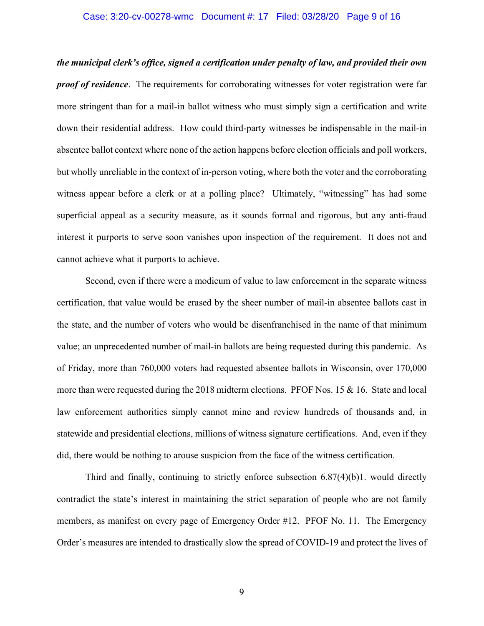## Case: 3:20-cv-00278-wmc Document #: 17 Filed: 03/28/20 Page 9 of 16

*the municipal clerk's office, signed a certification under penalty of law, and provided their own proof of residence*. The requirements for corroborating witnesses for voter registration were far more stringent than for a mail-in ballot witness who must simply sign a certification and write down their residential address. How could third-party witnesses be indispensable in the mail-in absentee ballot context where none of the action happens before election officials and poll workers, but wholly unreliable in the context of in-person voting, where both the voter and the corroborating witness appear before a clerk or at a polling place? Ultimately, "witnessing" has had some superficial appeal as a security measure, as it sounds formal and rigorous, but any anti-fraud interest it purports to serve soon vanishes upon inspection of the requirement. It does not and cannot achieve what it purports to achieve.

Second, even if there were a modicum of value to law enforcement in the separate witness certification, that value would be erased by the sheer number of mail-in absentee ballots cast in the state, and the number of voters who would be disenfranchised in the name of that minimum value; an unprecedented number of mail-in ballots are being requested during this pandemic. As of Friday, more than 760,000 voters had requested absentee ballots in Wisconsin, over 170,000 more than were requested during the 2018 midterm elections. PFOF Nos. 15 & 16. State and local law enforcement authorities simply cannot mine and review hundreds of thousands and, in statewide and presidential elections, millions of witness signature certifications. And, even if they did, there would be nothing to arouse suspicion from the face of the witness certification.

Third and finally, continuing to strictly enforce subsection 6.87(4)(b)1. would directly contradict the state's interest in maintaining the strict separation of people who are not family members, as manifest on every page of Emergency Order #12. PFOF No. 11. The Emergency Order's measures are intended to drastically slow the spread of COVID-19 and protect the lives of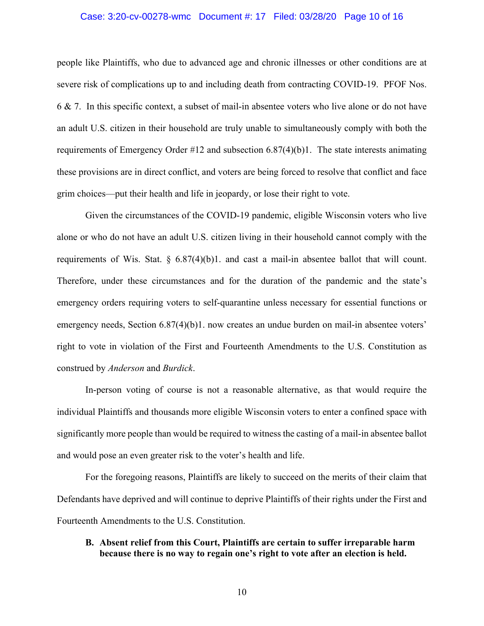## Case: 3:20-cv-00278-wmc Document #: 17 Filed: 03/28/20 Page 10 of 16

people like Plaintiffs, who due to advanced age and chronic illnesses or other conditions are at severe risk of complications up to and including death from contracting COVID-19. PFOF Nos. 6 & 7. In this specific context, a subset of mail-in absentee voters who live alone or do not have an adult U.S. citizen in their household are truly unable to simultaneously comply with both the requirements of Emergency Order #12 and subsection 6.87(4)(b)1. The state interests animating these provisions are in direct conflict, and voters are being forced to resolve that conflict and face grim choices—put their health and life in jeopardy, or lose their right to vote.

Given the circumstances of the COVID-19 pandemic, eligible Wisconsin voters who live alone or who do not have an adult U.S. citizen living in their household cannot comply with the requirements of Wis. Stat.  $\S$  6.87(4)(b)1. and cast a mail-in absentee ballot that will count. Therefore, under these circumstances and for the duration of the pandemic and the state's emergency orders requiring voters to self-quarantine unless necessary for essential functions or emergency needs, Section 6.87(4)(b)1. now creates an undue burden on mail-in absentee voters' right to vote in violation of the First and Fourteenth Amendments to the U.S. Constitution as construed by *Anderson* and *Burdick*.

In-person voting of course is not a reasonable alternative, as that would require the individual Plaintiffs and thousands more eligible Wisconsin voters to enter a confined space with significantly more people than would be required to witness the casting of a mail-in absentee ballot and would pose an even greater risk to the voter's health and life.

For the foregoing reasons, Plaintiffs are likely to succeed on the merits of their claim that Defendants have deprived and will continue to deprive Plaintiffs of their rights under the First and Fourteenth Amendments to the U.S. Constitution.

## **B. Absent relief from this Court, Plaintiffs are certain to suffer irreparable harm because there is no way to regain one's right to vote after an election is held.**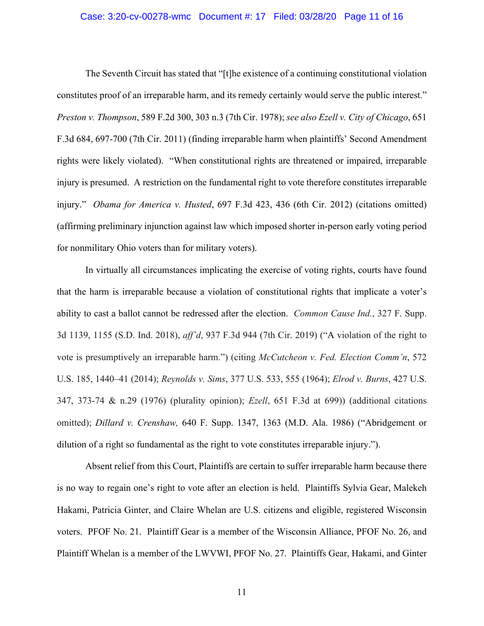## Case: 3:20-cv-00278-wmc Document #: 17 Filed: 03/28/20 Page 11 of 16

The Seventh Circuit has stated that "[t]he existence of a continuing constitutional violation constitutes proof of an irreparable harm, and its remedy certainly would serve the public interest." *Preston v. Thompson*, 589 F.2d 300, 303 n.3 (7th Cir. 1978); *see also Ezell v. City of Chicago*, 651 F.3d 684, 697-700 (7th Cir. 2011) (finding irreparable harm when plaintiffs' Second Amendment rights were likely violated). "When constitutional rights are threatened or impaired, irreparable injury is presumed. A restriction on the fundamental right to vote therefore constitutes irreparable injury." *Obama for America v. Husted*, 697 F.3d 423, 436 (6th Cir. 2012) (citations omitted) (affirming preliminary injunction against law which imposed shorter in-person early voting period for nonmilitary Ohio voters than for military voters).

In virtually all circumstances implicating the exercise of voting rights, courts have found that the harm is irreparable because a violation of constitutional rights that implicate a voter's ability to cast a ballot cannot be redressed after the election. *Common Cause Ind.*, 327 F. Supp. 3d 1139, 1155 (S.D. Ind. 2018), *aff'd*, 937 F.3d 944 (7th Cir. 2019) ("A violation of the right to vote is presumptively an irreparable harm.") (citing *McCutcheon v. Fed. Election Comm'n*, 572 U.S. 185, 1440–41 (2014); *Reynolds v. Sims*, 377 U.S. 533, 555 (1964); *Elrod v. Burns*, 427 U.S. 347, 373-74 & n.29 (1976) (plurality opinion); *Ezell*, 651 F.3d at 699)) (additional citations omitted); *Dillard v. Crenshaw,* 640 F. Supp. 1347, 1363 (M.D. Ala. 1986) ("Abridgement or dilution of a right so fundamental as the right to vote constitutes irreparable injury.").

Absent relief from this Court, Plaintiffs are certain to suffer irreparable harm because there is no way to regain one's right to vote after an election is held. Plaintiffs Sylvia Gear, Malekeh Hakami, Patricia Ginter, and Claire Whelan are U.S. citizens and eligible, registered Wisconsin voters. PFOF No. 21. Plaintiff Gear is a member of the Wisconsin Alliance, PFOF No. 26, and Plaintiff Whelan is a member of the LWVWI, PFOF No. 27. Plaintiffs Gear, Hakami, and Ginter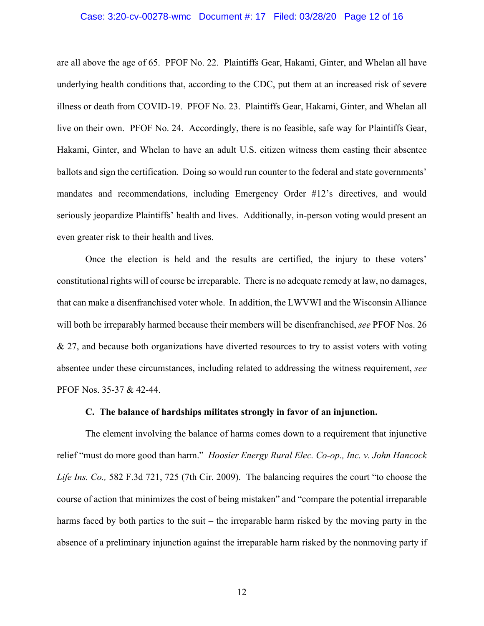## Case: 3:20-cv-00278-wmc Document #: 17 Filed: 03/28/20 Page 12 of 16

are all above the age of 65. PFOF No. 22. Plaintiffs Gear, Hakami, Ginter, and Whelan all have underlying health conditions that, according to the CDC, put them at an increased risk of severe illness or death from COVID-19. PFOF No. 23. Plaintiffs Gear, Hakami, Ginter, and Whelan all live on their own. PFOF No. 24. Accordingly, there is no feasible, safe way for Plaintiffs Gear, Hakami, Ginter, and Whelan to have an adult U.S. citizen witness them casting their absentee ballots and sign the certification. Doing so would run counter to the federal and state governments' mandates and recommendations, including Emergency Order #12's directives, and would seriously jeopardize Plaintiffs' health and lives. Additionally, in-person voting would present an even greater risk to their health and lives.

Once the election is held and the results are certified, the injury to these voters' constitutional rights will of course be irreparable. There is no adequate remedy at law, no damages, that can make a disenfranchised voter whole. In addition, the LWVWI and the Wisconsin Alliance will both be irreparably harmed because their members will be disenfranchised, *see* PFOF Nos. 26 & 27, and because both organizations have diverted resources to try to assist voters with voting absentee under these circumstances, including related to addressing the witness requirement, *see* PFOF Nos. 35-37 & 42-44.

#### **C. The balance of hardships militates strongly in favor of an injunction.**

The element involving the balance of harms comes down to a requirement that injunctive relief "must do more good than harm." *Hoosier Energy Rural Elec. Co-op., Inc. v. John Hancock Life Ins. Co.,* 582 F.3d 721, 725 (7th Cir. 2009). The balancing requires the court "to choose the course of action that minimizes the cost of being mistaken" and "compare the potential irreparable harms faced by both parties to the suit – the irreparable harm risked by the moving party in the absence of a preliminary injunction against the irreparable harm risked by the nonmoving party if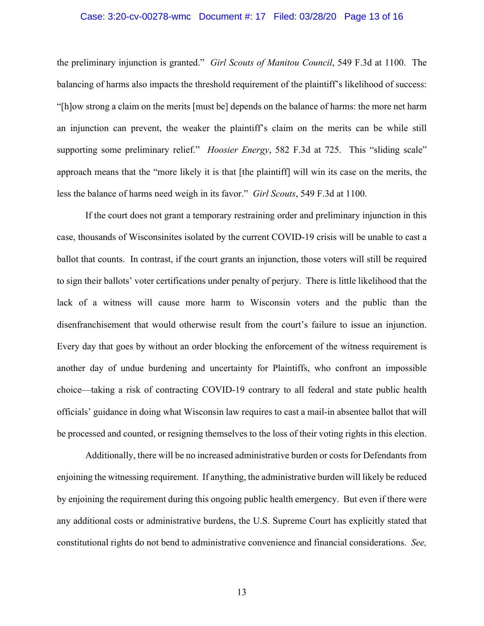## Case: 3:20-cv-00278-wmc Document #: 17 Filed: 03/28/20 Page 13 of 16

the preliminary injunction is granted." *Girl Scouts of Manitou Council*, 549 F.3d at 1100. The balancing of harms also impacts the threshold requirement of the plaintiff's likelihood of success: "[h]ow strong a claim on the merits [must be] depends on the balance of harms: the more net harm an injunction can prevent, the weaker the plaintiff's claim on the merits can be while still supporting some preliminary relief." *Hoosier Energy*, 582 F.3d at 725. This "sliding scale" approach means that the "more likely it is that [the plaintiff] will win its case on the merits, the less the balance of harms need weigh in its favor." *Girl Scouts*, 549 F.3d at 1100.

If the court does not grant a temporary restraining order and preliminary injunction in this case, thousands of Wisconsinites isolated by the current COVID-19 crisis will be unable to cast a ballot that counts. In contrast, if the court grants an injunction, those voters will still be required to sign their ballots' voter certifications under penalty of perjury. There is little likelihood that the lack of a witness will cause more harm to Wisconsin voters and the public than the disenfranchisement that would otherwise result from the court's failure to issue an injunction. Every day that goes by without an order blocking the enforcement of the witness requirement is another day of undue burdening and uncertainty for Plaintiffs, who confront an impossible choice—taking a risk of contracting COVID-19 contrary to all federal and state public health officials' guidance in doing what Wisconsin law requires to cast a mail-in absentee ballot that will be processed and counted, or resigning themselves to the loss of their voting rights in this election.

Additionally, there will be no increased administrative burden or costs for Defendants from enjoining the witnessing requirement. If anything, the administrative burden will likely be reduced by enjoining the requirement during this ongoing public health emergency. But even if there were any additional costs or administrative burdens, the U.S. Supreme Court has explicitly stated that constitutional rights do not bend to administrative convenience and financial considerations. *See,*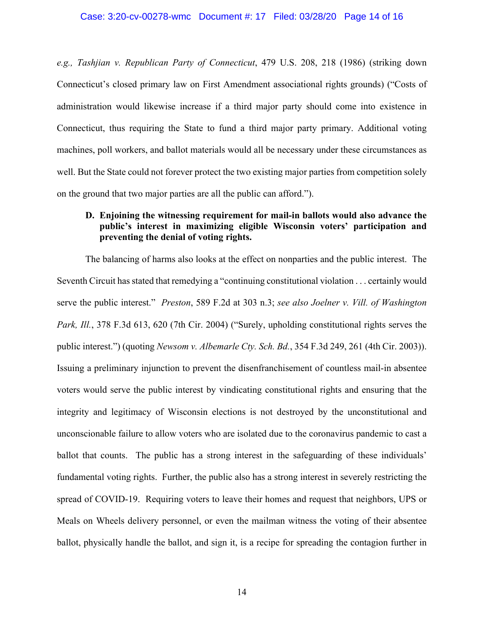*e.g., Tashjian v. Republican Party of Connecticut*, 479 U.S. 208, 218 (1986) (striking down Connecticut's closed primary law on First Amendment associational rights grounds) ("Costs of administration would likewise increase if a third major party should come into existence in Connecticut, thus requiring the State to fund a third major party primary. Additional voting machines, poll workers, and ballot materials would all be necessary under these circumstances as well. But the State could not forever protect the two existing major parties from competition solely on the ground that two major parties are all the public can afford.").

# **D. Enjoining the witnessing requirement for mail-in ballots would also advance the public's interest in maximizing eligible Wisconsin voters' participation and preventing the denial of voting rights.**

The balancing of harms also looks at the effect on nonparties and the public interest. The Seventh Circuit has stated that remedying a "continuing constitutional violation . . . certainly would serve the public interest." *Preston*, 589 F.2d at 303 n.3; *see also Joelner v. Vill. of Washington Park, Ill.*, 378 F.3d 613, 620 (7th Cir. 2004) ("Surely, upholding constitutional rights serves the public interest.") (quoting *Newsom v. Albemarle Cty. Sch. Bd.*, 354 F.3d 249, 261 (4th Cir. 2003)). Issuing a preliminary injunction to prevent the disenfranchisement of countless mail-in absentee voters would serve the public interest by vindicating constitutional rights and ensuring that the integrity and legitimacy of Wisconsin elections is not destroyed by the unconstitutional and unconscionable failure to allow voters who are isolated due to the coronavirus pandemic to cast a ballot that counts. The public has a strong interest in the safeguarding of these individuals' fundamental voting rights. Further, the public also has a strong interest in severely restricting the spread of COVID-19. Requiring voters to leave their homes and request that neighbors, UPS or Meals on Wheels delivery personnel, or even the mailman witness the voting of their absentee ballot, physically handle the ballot, and sign it, is a recipe for spreading the contagion further in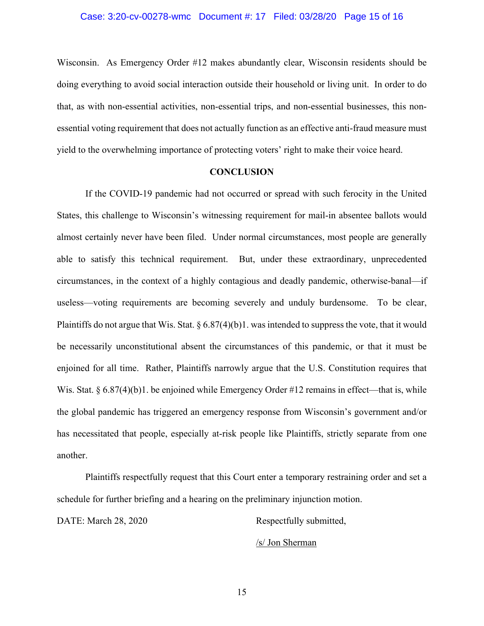Wisconsin. As Emergency Order #12 makes abundantly clear, Wisconsin residents should be doing everything to avoid social interaction outside their household or living unit. In order to do that, as with non-essential activities, non-essential trips, and non-essential businesses, this nonessential voting requirement that does not actually function as an effective anti-fraud measure must yield to the overwhelming importance of protecting voters' right to make their voice heard.

## **CONCLUSION**

If the COVID-19 pandemic had not occurred or spread with such ferocity in the United States, this challenge to Wisconsin's witnessing requirement for mail-in absentee ballots would almost certainly never have been filed. Under normal circumstances, most people are generally able to satisfy this technical requirement. But, under these extraordinary, unprecedented circumstances, in the context of a highly contagious and deadly pandemic, otherwise-banal—if useless—voting requirements are becoming severely and unduly burdensome. To be clear, Plaintiffs do not argue that Wis. Stat. § 6.87(4)(b)1. was intended to suppress the vote, that it would be necessarily unconstitutional absent the circumstances of this pandemic, or that it must be enjoined for all time. Rather, Plaintiffs narrowly argue that the U.S. Constitution requires that Wis. Stat.  $\S 6.87(4)(b)$ 1. be enjoined while Emergency Order #12 remains in effect—that is, while the global pandemic has triggered an emergency response from Wisconsin's government and/or has necessitated that people, especially at-risk people like Plaintiffs, strictly separate from one another.

Plaintiffs respectfully request that this Court enter a temporary restraining order and set a schedule for further briefing and a hearing on the preliminary injunction motion.

DATE: March 28, 2020 Respectfully submitted,

/s/ Jon Sherman